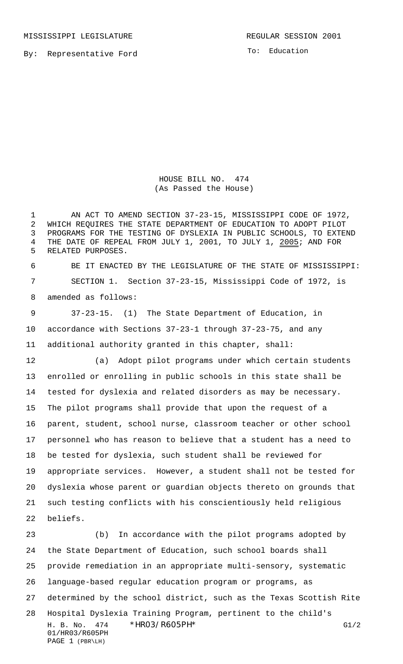MISSISSIPPI LEGISLATURE **REGULAR SESSION 2001** 

By: Representative Ford

To: Education

HOUSE BILL NO. 474 (As Passed the House)

 AN ACT TO AMEND SECTION 37-23-15, MISSISSIPPI CODE OF 1972, WHICH REQUIRES THE STATE DEPARTMENT OF EDUCATION TO ADOPT PILOT PROGRAMS FOR THE TESTING OF DYSLEXIA IN PUBLIC SCHOOLS, TO EXTEND THE DATE OF REPEAL FROM JULY 1, 2001, TO JULY 1, 2005; AND FOR RELATED PURPOSES.

 BE IT ENACTED BY THE LEGISLATURE OF THE STATE OF MISSISSIPPI: SECTION 1. Section 37-23-15, Mississippi Code of 1972, is amended as follows:

 37-23-15. (1) The State Department of Education, in accordance with Sections 37-23-1 through 37-23-75, and any additional authority granted in this chapter, shall:

 (a) Adopt pilot programs under which certain students enrolled or enrolling in public schools in this state shall be tested for dyslexia and related disorders as may be necessary. The pilot programs shall provide that upon the request of a parent, student, school nurse, classroom teacher or other school personnel who has reason to believe that a student has a need to be tested for dyslexia, such student shall be reviewed for appropriate services. However, a student shall not be tested for dyslexia whose parent or guardian objects thereto on grounds that such testing conflicts with his conscientiously held religious beliefs.

H. B. No. 474 \*HR03/R605PH\* G1/2 01/HR03/R605PH PAGE 1 (PBR\LH) (b) In accordance with the pilot programs adopted by the State Department of Education, such school boards shall provide remediation in an appropriate multi-sensory, systematic language-based regular education program or programs, as determined by the school district, such as the Texas Scottish Rite Hospital Dyslexia Training Program, pertinent to the child's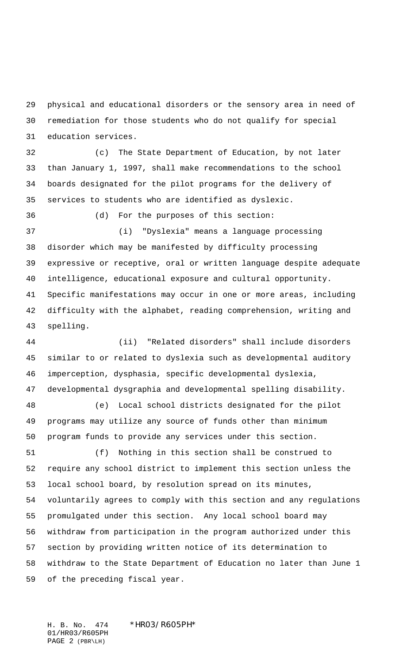physical and educational disorders or the sensory area in need of remediation for those students who do not qualify for special education services.

 (c) The State Department of Education, by not later than January 1, 1997, shall make recommendations to the school boards designated for the pilot programs for the delivery of services to students who are identified as dyslexic.

 (d) For the purposes of this section: (i) "Dyslexia" means a language processing disorder which may be manifested by difficulty processing expressive or receptive, oral or written language despite adequate intelligence, educational exposure and cultural opportunity. Specific manifestations may occur in one or more areas, including difficulty with the alphabet, reading comprehension, writing and spelling.

 (ii) "Related disorders" shall include disorders similar to or related to dyslexia such as developmental auditory imperception, dysphasia, specific developmental dyslexia, developmental dysgraphia and developmental spelling disability.

 (e) Local school districts designated for the pilot programs may utilize any source of funds other than minimum program funds to provide any services under this section.

 (f) Nothing in this section shall be construed to require any school district to implement this section unless the local school board, by resolution spread on its minutes, voluntarily agrees to comply with this section and any regulations promulgated under this section. Any local school board may withdraw from participation in the program authorized under this section by providing written notice of its determination to withdraw to the State Department of Education no later than June 1 of the preceding fiscal year.

H. B. No. 474 \*HR03/R605PH\* 01/HR03/R605PH PAGE 2 (PBR\LH)